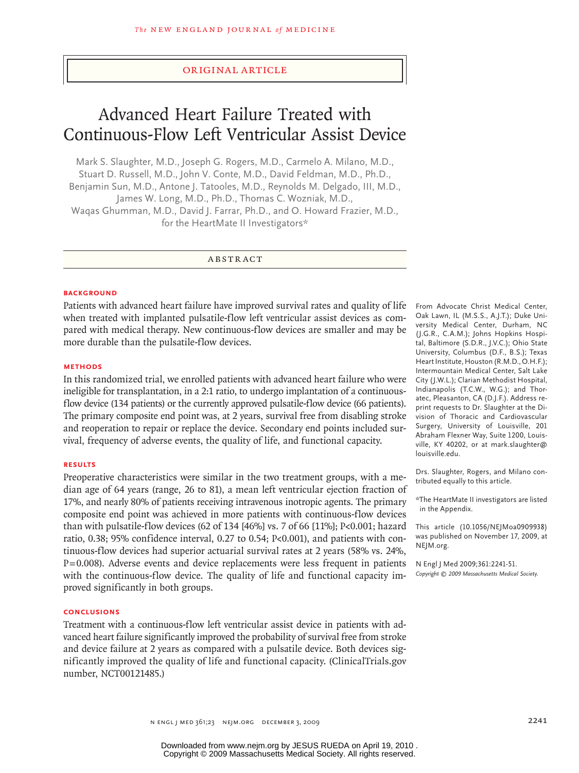## original article

# Advanced Heart Failure Treated with Continuous-Flow Left Ventricular Assist Device

Mark S. Slaughter, M.D., Joseph G. Rogers, M.D., Carmelo A. Milano, M.D., Stuart D. Russell, M.D., John V. Conte, M.D., David Feldman, M.D., Ph.D., Benjamin Sun, M.D., Antone J. Tatooles, M.D., Reynolds M. Delgado, III, M.D., James W. Long, M.D., Ph.D., Thomas C. Wozniak, M.D., Waqas Ghumman, M.D., David J. Farrar, Ph.D., and O. Howard Frazier, M.D., for the HeartMate II Investigators\*

**ABSTRACT** 

#### **BACKGROUND**

Patients with advanced heart failure have improved survival rates and quality of life when treated with implanted pulsatile-flow left ventricular assist devices as compared with medical therapy. New continuous-flow devices are smaller and may be more durable than the pulsatile-flow devices.

## **Methods**

In this randomized trial, we enrolled patients with advanced heart failure who were ineligible for transplantation, in a 2:1 ratio, to undergo implantation of a continuousflow device (134 patients) or the currently approved pulsatile-flow device (66 patients). The primary composite end point was, at 2 years, survival free from disabling stroke and reoperation to repair or replace the device. Secondary end points included survival, frequency of adverse events, the quality of life, and functional capacity.

#### **Results**

Preoperative characteristics were similar in the two treatment groups, with a median age of 64 years (range, 26 to 81), a mean left ventricular ejection fraction of 17%, and nearly 80% of patients receiving intravenous inotropic agents. The primary composite end point was achieved in more patients with continuous-flow devices than with pulsatile-flow devices (62 of 134 [46%] vs. 7 of 66 [11%]; P<0.001; hazard ratio, 0.38; 95% confidence interval, 0.27 to 0.54; P<0.001), and patients with continuous-flow devices had superior actuarial survival rates at 2 years (58% vs. 24%,  $P=0.008$ ). Adverse events and device replacements were less frequent in patients with the continuous-flow device. The quality of life and functional capacity improved significantly in both groups.

## **Conclusions**

Treatment with a continuous-flow left ventricular assist device in patients with advanced heart failure significantly improved the probability of survival free from stroke and device failure at 2 years as compared with a pulsatile device. Both devices significantly improved the quality of life and functional capacity. (ClinicalTrials.gov number, NCT00121485.)

From Advocate Christ Medical Center, Oak Lawn, IL (M.S.S., A.J.T.); Duke University Medical Center, Durham, NC (J.G.R., C.A.M.); Johns Hopkins Hospital, Baltimore (S.D.R., J.V.C.); Ohio State University, Columbus (D.F., B.S.); Texas Heart Institute, Houston (R.M.D., O.H.F.); Intermountain Medical Center, Salt Lake City (J.W.L.); Clarian Methodist Hospital, Indianapolis (T.C.W., W.G.); and Thoratec, Pleasanton, CA (D.J.F.). Address reprint requests to Dr. Slaughter at the Division of Thoracic and Cardiovascular Surgery, University of Louisville, 201 Abraham Flexner Way, Suite 1200, Louisville, KY 40202, or at mark.slaughter@ louisville.edu.

Drs. Slaughter, Rogers, and Milano contributed equally to this article.

\*The HeartMate II investigators are listed in the Appendix.

This article (10.1056/NEJMoa0909938) was published on November 17, 2009, at NEJM.org.

N Engl J Med 2009;361:2241-51. *Copyright © 2009 Massachusetts Medical Society.*

n engl j med 361;23 nejm.org december 3, 2009 2241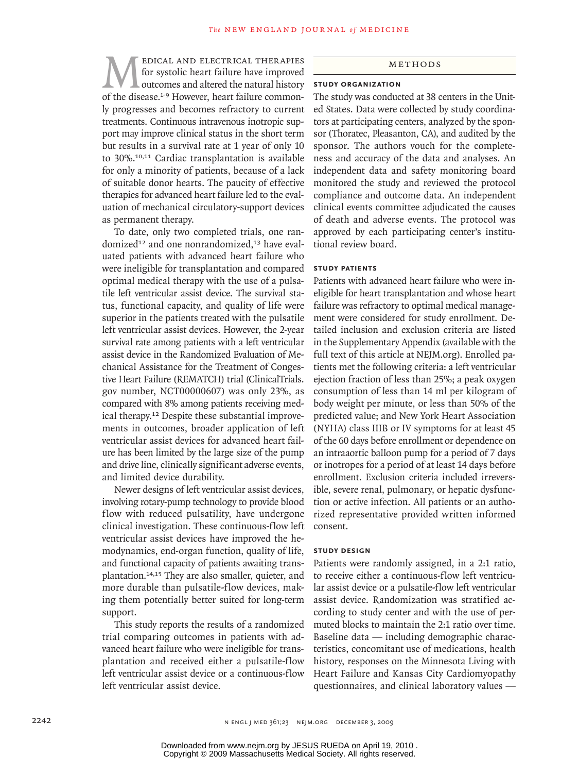**MEDICAL AND ELECTRICAL THERAPIES**<br>for systolic heart failure have improved<br>outcomes and altered the natural history<br>of the disease.<sup>1-9</sup> However, heart failure commonfor systolic heart failure have improved outcomes and altered the natural history ly progresses and becomes refractory to current treatments. Continuous intravenous inotropic support may improve clinical status in the short term but results in a survival rate at 1 year of only 10 to 30%.10,11 Cardiac transplantation is available for only a minority of patients, because of a lack of suitable donor hearts. The paucity of effective therapies for advanced heart failure led to the evaluation of mechanical circulatory-support devices as permanent therapy.

To date, only two completed trials, one randomized<sup>12</sup> and one nonrandomized,<sup>13</sup> have evaluated patients with advanced heart failure who were ineligible for transplantation and compared optimal medical therapy with the use of a pulsatile left ventricular assist device. The survival status, functional capacity, and quality of life were superior in the patients treated with the pulsatile left ventricular assist devices. However, the 2-year survival rate among patients with a left ventricular assist device in the Randomized Evaluation of Mechanical Assistance for the Treatment of Congestive Heart Failure (REMATCH) trial (ClinicalTrials. gov number, NCT00000607) was only 23%, as compared with 8% among patients receiving medical therapy.12 Despite these substantial improvements in outcomes, broader application of left ventricular assist devices for advanced heart failure has been limited by the large size of the pump and drive line, clinically significant adverse events, and limited device durability.

Newer designs of left ventricular assist devices, involving rotary-pump technology to provide blood flow with reduced pulsatility, have undergone clinical investigation. These continuous-flow left ventricular assist devices have improved the hemodynamics, end-organ function, quality of life, and functional capacity of patients awaiting transplantation.14,15 They are also smaller, quieter, and more durable than pulsatile-flow devices, making them potentially better suited for long-term support.

This study reports the results of a randomized trial comparing outcomes in patients with advanced heart failure who were ineligible for transplantation and received either a pulsatile-flow left ventricular assist device or a continuous-flow left ventricular assist device.

## Methods

## **Study Organization**

The study was conducted at 38 centers in the United States. Data were collected by study coordinators at participating centers, analyzed by the sponsor (Thoratec, Pleasanton, CA), and audited by the sponsor. The authors vouch for the completeness and accuracy of the data and analyses. An independent data and safety monitoring board monitored the study and reviewed the protocol compliance and outcome data. An independent clinical events committee adjudicated the causes of death and adverse events. The protocol was approved by each participating center's institutional review board.

## **Study Patients**

Patients with advanced heart failure who were ineligible for heart transplantation and whose heart failure was refractory to optimal medical management were considered for study enrollment. Detailed inclusion and exclusion criteria are listed in the Supplementary Appendix (available with the full text of this article at NEJM.org). Enrolled patients met the following criteria: a left ventricular ejection fraction of less than 25%; a peak oxygen consumption of less than 14 ml per kilogram of body weight per minute, or less than 50% of the predicted value; and New York Heart Association (NYHA) class IIIB or IV symptoms for at least 45 of the 60 days before enrollment or dependence on an intraaortic balloon pump for a period of 7 days or inotropes for a period of at least 14 days before enrollment. Exclusion criteria included irreversible, severe renal, pulmonary, or hepatic dysfunction or active infection. All patients or an authorized representative provided written informed consent.

## **Study Design**

Patients were randomly assigned, in a 2:1 ratio, to receive either a continuous-flow left ventricular assist device or a pulsatile-flow left ventricular assist device. Randomization was stratified according to study center and with the use of permuted blocks to maintain the 2:1 ratio over time. Baseline data — including demographic characteristics, concomitant use of medications, health history, responses on the Minnesota Living with Heart Failure and Kansas City Cardiomyopathy questionnaires, and clinical laboratory values —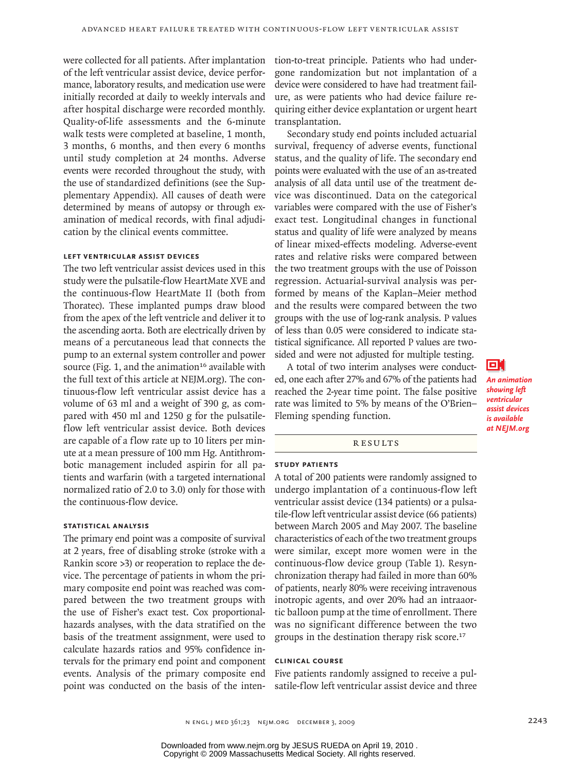were collected for all patients. After implantation of the left ventricular assist device, device performance, laboratory results, and medication use were initially recorded at daily to weekly intervals and after hospital discharge were recorded monthly. Quality-of-life assessments and the 6-minute walk tests were completed at baseline, 1 month, 3 months, 6 months, and then every 6 months until study completion at 24 months. Adverse events were recorded throughout the study, with the use of standardized definitions (see the Supplementary Appendix). All causes of death were determined by means of autopsy or through examination of medical records, with final adjudication by the clinical events committee.

## **Left Ventricular Assist Devices**

The two left ventricular assist devices used in this study were the pulsatile-flow HeartMate XVE and the continuous-flow HeartMate II (both from Thoratec). These implanted pumps draw blood from the apex of the left ventricle and deliver it to the ascending aorta. Both are electrically driven by means of a percutaneous lead that connects the pump to an external system controller and power source (Fig. 1, and the animation<sup>16</sup> available with the full text of this article at NEJM.org). The continuous-flow left ventricular assist device has a volume of 63 ml and a weight of 390 g, as compared with 450 ml and 1250 g for the pulsatileflow left ventricular assist device. Both devices are capable of a flow rate up to 10 liters per minute at a mean pressure of 100 mm Hg. Antithrombotic management included aspirin for all patients and warfarin (with a targeted international normalized ratio of 2.0 to 3.0) only for those with the continuous-flow device.

## **Statistical Analysis**

The primary end point was a composite of survival at 2 years, free of disabling stroke (stroke with a Rankin score >3) or reoperation to replace the device. The percentage of patients in whom the primary composite end point was reached was compared between the two treatment groups with the use of Fisher's exact test. Cox proportionalhazards analyses, with the data stratified on the basis of the treatment assignment, were used to calculate hazards ratios and 95% confidence intervals for the primary end point and component events. Analysis of the primary composite end point was conducted on the basis of the intention-to-treat principle. Patients who had undergone randomization but not implantation of a device were considered to have had treatment failure, as were patients who had device failure requiring either device explantation or urgent heart transplantation.

Secondary study end points included actuarial survival, frequency of adverse events, functional status, and the quality of life. The secondary end points were evaluated with the use of an as-treated analysis of all data until use of the treatment device was discontinued. Data on the categorical variables were compared with the use of Fisher's exact test. Longitudinal changes in functional status and quality of life were analyzed by means of linear mixed-effects modeling. Adverse-event rates and relative risks were compared between the two treatment groups with the use of Poisson regression. Actuarial-survival analysis was performed by means of the Kaplan–Meier method and the results were compared between the two groups with the use of log-rank analysis. P values of less than 0.05 were considered to indicate statistical significance. All reported P values are twosided and were not adjusted for multiple testing.

A total of two interim analyses were conducted, one each after 27% and 67% of the patients had reached the 2-year time point. The false positive rate was limited to 5% by means of the O'Brien– Fleming spending function.

*An animation showing left ventricular assist devices is available at NEJM.org* 

ПI

**RESULTS** 

#### **Study Patients**

A total of 200 patients were randomly assigned to undergo implantation of a continuous-flow left ventricular assist device (134 patients) or a pulsatile-flow left ventricular assist device (66 patients) between March 2005 and May 2007. The baseline characteristics of each of the two treatment groups were similar, except more women were in the continuous-flow device group (Table 1). Resynchronization therapy had failed in more than 60% of patients, nearly 80% were receiving intravenous inotropic agents, and over 20% had an intraaortic balloon pump at the time of enrollment. There was no significant difference between the two groups in the destination therapy risk score.<sup>17</sup>

## **Clinical Course**

Five patients randomly assigned to receive a pulsatile-flow left ventricular assist device and three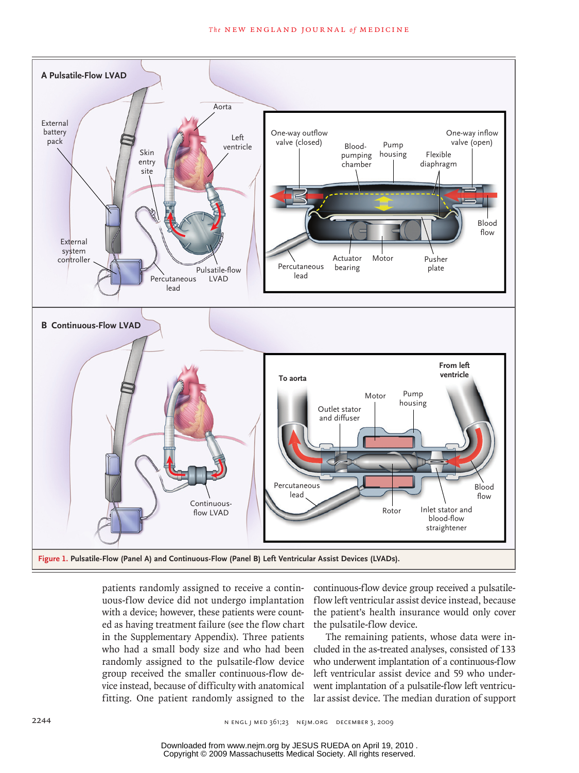#### **The NEW ENGLAND JOURNAL of MEDICINE**



patients randomly assigned to receive a continuous-flow device did not undergo implantation with a device; however, these patients were counted as having treatment failure (see the flow chart in the Supplementary Appendix). Three patients who had a small body size and who had been randomly assigned to the pulsatile-flow device group received the smaller continuous-flow device instead, because of difficulty with anatomical Fig # 1  $\frac{1}{2}$ Slaughter

continuous-flow device group received a pulsatileflow left ventricular assist device instead, because the patient's health insurance would only cover the pulsatile-flow device.

fitting. One patient randomly assigned to the lar assist device. The median duration of support The remaining patients, whose data were included in the as-treated analyses, consisted of 133 who underwent implantation of a continuous-flow left ventricular assist device and 59 who underwent implantation of a pulsatile-flow left ventricu-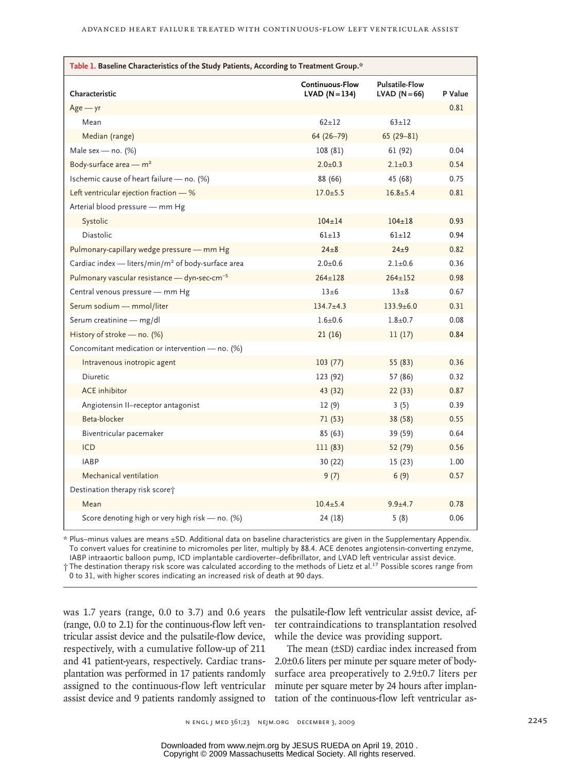| Table 1. Baseline Characteristics of the Study Patients, According to Treatment Group.* |                                          |                                        |         |  |  |  |  |
|-----------------------------------------------------------------------------------------|------------------------------------------|----------------------------------------|---------|--|--|--|--|
| Characteristic                                                                          | <b>Continuous-Flow</b><br>$LVAD (N=134)$ | <b>Pulsatile-Flow</b><br>$LVAD (N=66)$ | P Value |  |  |  |  |
| $Age - yr$                                                                              |                                          |                                        | 0.81    |  |  |  |  |
| Mean                                                                                    | $62 + 12$                                | $63 + 12$                              |         |  |  |  |  |
| Median (range)                                                                          | 64 (26-79)                               | $65(29-81)$                            |         |  |  |  |  |
| Male sex — no. $(\%)$                                                                   | 108 (81)                                 | 61 (92)                                | 0.04    |  |  |  |  |
| Body-surface area $-m^2$                                                                | $2.0 \pm 0.3$                            | $2.1 \pm 0.3$                          | 0.54    |  |  |  |  |
| Ischemic cause of heart failure - no. (%)                                               | 88 (66)                                  | 45 (68)                                | 0.75    |  |  |  |  |
| Left ventricular ejection fraction $-$ %                                                | $17.0 \pm 5.5$                           | $16.8 \pm 5.4$                         | 0.81    |  |  |  |  |
| Arterial blood pressure - mm Hg                                                         |                                          |                                        |         |  |  |  |  |
| Systolic                                                                                | $104 \pm 14$                             | $104 \pm 18$                           | 0.93    |  |  |  |  |
| <b>Diastolic</b>                                                                        | $61 \pm 13$                              | $61 + 12$                              | 0.94    |  |  |  |  |
| Pulmonary-capillary wedge pressure - mm Hg                                              | $24\pm8$                                 | $24\pm9$                               | 0.82    |  |  |  |  |
| Cardiac index - liters/min/m <sup>2</sup> of body-surface area                          | $2.0 + 0.6$                              | $2.1 + 0.6$                            | 0.36    |  |  |  |  |
| Pulmonary vascular resistance - dyn-sec-cm <sup>-5</sup>                                | $264 \pm 128$                            | $264 \pm 152$                          | 0.98    |  |  |  |  |
| Central venous pressure - mm Hg                                                         | $13\pm 6$                                | $13\pm8$                               | 0.67    |  |  |  |  |
| Serum sodium - mmol/liter                                                               | $134.7 + 4.3$                            | $133.9 \pm 6.0$                        | 0.31    |  |  |  |  |
| Serum creatinine - mg/dl                                                                | $1.6 + 0.6$                              | $1.8 + 0.7$                            | 0.08    |  |  |  |  |
| History of stroke - no. (%)                                                             | 21(16)                                   | 11(17)                                 | 0.84    |  |  |  |  |
| Concomitant medication or intervention $-$ no. (%)                                      |                                          |                                        |         |  |  |  |  |
| Intravenous inotropic agent                                                             | 103(77)                                  | 55 (83)                                | 0.36    |  |  |  |  |
| <b>Diuretic</b>                                                                         | 123 (92)                                 | 57 (86)                                | 0.32    |  |  |  |  |
| <b>ACE</b> inhibitor                                                                    | 43 (32)                                  | 22(33)                                 | 0.87    |  |  |  |  |
| Angiotensin II-receptor antagonist                                                      | 12(9)                                    | 3(5)                                   | 0.39    |  |  |  |  |
| Beta-blocker                                                                            | 71 (53)                                  | 38 (58)                                | 0.55    |  |  |  |  |
| Biventricular pacemaker                                                                 | 85 (63)                                  | 39 (59)                                | 0.64    |  |  |  |  |
| ICD                                                                                     | 111 (83)                                 | 52 (79)                                | 0.56    |  |  |  |  |
| <b>IABP</b>                                                                             | 30 (22)                                  | 15(23)                                 | 1.00    |  |  |  |  |
| Mechanical ventilation                                                                  | 9(7)                                     | 6(9)                                   | 0.57    |  |  |  |  |
| Destination therapy risk score                                                          |                                          |                                        |         |  |  |  |  |
| Mean                                                                                    | $10.4 \pm 5.4$                           | $9.9 + 4.7$                            | 0.78    |  |  |  |  |
| Score denoting high or very high risk - no. (%)                                         | 24 (18)                                  | 5(8)                                   | 0.06    |  |  |  |  |

\* Plus–minus values are means ±SD. Additional data on baseline characteristics are given in the Supplementary Appendix. To convert values for creatinine to micromoles per liter, multiply by 88.4. ACE denotes angiotensin-converting enzyme, IABP intraaortic balloon pump, ICD implantable cardioverter–defibrillator, and LVAD left ventricular assist device.

† The destination therapy risk score was calculated according to the methods of Lietz et al.17 Possible scores range from 0 to 31, with higher scores indicating an increased risk of death at 90 days.

was 1.7 years (range, 0.0 to 3.7) and 0.6 years the pulsatile-flow left ventricular assist device, af-(range, 0.0 to 2.1) for the continuous-flow left ventricular assist device and the pulsatile-flow device, respectively, with a cumulative follow-up of 211 and 41 patient-years, respectively. Cardiac transplantation was performed in 17 patients randomly assigned to the continuous-flow left ventricular minute per square meter by 24 hours after implanassist device and 9 patients randomly assigned to tation of the continuous-flow left ventricular as-

ter contraindications to transplantation resolved while the device was providing support.

The mean (±SD) cardiac index increased from 2.0±0.6 liters per minute per square meter of bodysurface area preoperatively to 2.9±0.7 liters per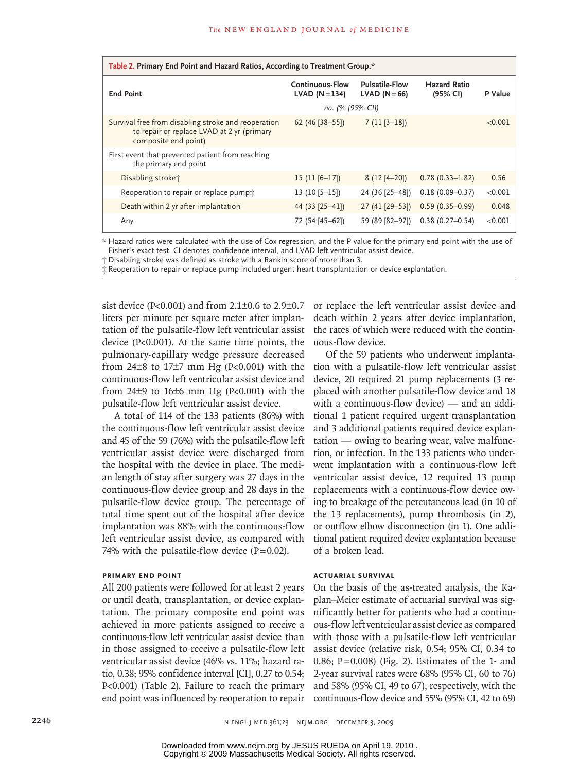| Table 2. Primary End Point and Hazard Ratios, According to Treatment Group.*                                              |                                          |                                        |                                 |         |  |  |  |  |
|---------------------------------------------------------------------------------------------------------------------------|------------------------------------------|----------------------------------------|---------------------------------|---------|--|--|--|--|
| <b>End Point</b>                                                                                                          | <b>Continuous-Flow</b><br>$LVAD (N=134)$ | <b>Pulsatile-Flow</b><br>LVAD $(N=66)$ | <b>Hazard Ratio</b><br>(95% CI) | P Value |  |  |  |  |
|                                                                                                                           | no. (% [95% CI])                         |                                        |                                 |         |  |  |  |  |
| Survival free from disabling stroke and reoperation<br>to repair or replace LVAD at 2 yr (primary<br>composite end point) | $62(46[38-55])$                          | $7(11[3-18])$                          |                                 | < 0.001 |  |  |  |  |
| First event that prevented patient from reaching<br>the primary end point                                                 |                                          |                                        |                                 |         |  |  |  |  |
| Disabling stroke <sup>+</sup>                                                                                             | $15(11[6-17])$                           | $8(12[4-20])$                          | $0.78(0.33 - 1.82)$             | 0.56    |  |  |  |  |
| Reoperation to repair or replace pumpt:                                                                                   | $13(10[5-15])$                           | 24 (36 [25-48])                        | $0.18(0.09 - 0.37)$             | < 0.001 |  |  |  |  |
| Death within 2 yr after implantation                                                                                      | 44 (33 [25 - 41])                        | 27 (41 [29-53])                        | $0.59(0.35 - 0.99)$             | 0.048   |  |  |  |  |
| Any                                                                                                                       | 72 (54 [45-62])                          | 59 (89 [82-97])                        | $0.38(0.27 - 0.54)$             | < 0.001 |  |  |  |  |

\* Hazard ratios were calculated with the use of Cox regression, and the P value for the primary end point with the use of Fisher's exact test. CI denotes confidence interval, and LVAD left ventricular assist device.

† Disabling stroke was defined as stroke with a Rankin score of more than 3.

‡ Reoperation to repair or replace pump included urgent heart transplantation or device explantation.

sist device (P<0.001) and from  $2.1 \pm 0.6$  to  $2.9 \pm 0.7$ liters per minute per square meter after implantation of the pulsatile-flow left ventricular assist device (P<0.001). At the same time points, the pulmonary-capillary wedge pressure decreased from 24±8 to 17±7 mm Hg (P<0.001) with the continuous-flow left ventricular assist device and from  $24\pm9$  to  $16\pm6$  mm Hg (P<0.001) with the pulsatile-flow left ventricular assist device.

A total of 114 of the 133 patients (86%) with the continuous-flow left ventricular assist device and 45 of the 59 (76%) with the pulsatile-flow left ventricular assist device were discharged from the hospital with the device in place. The median length of stay after surgery was 27 days in the continuous-flow device group and 28 days in the pulsatile-flow device group. The percentage of total time spent out of the hospital after device implantation was 88% with the continuous-flow left ventricular assist device, as compared with 74% with the pulsatile-flow device  $(P=0.02)$ .

## **Primary End Point**

All 200 patients were followed for at least 2 years or until death, transplantation, or device explantation. The primary composite end point was achieved in more patients assigned to receive a continuous-flow left ventricular assist device than in those assigned to receive a pulsatile-flow left ventricular assist device (46% vs. 11%; hazard ratio, 0.38; 95% confidence interval [CI], 0.27 to 0.54; P<0.001) (Table 2). Failure to reach the primary end point was influenced by reoperation to repair or replace the left ventricular assist device and death within 2 years after device implantation, the rates of which were reduced with the continuous-flow device.

Of the 59 patients who underwent implantation with a pulsatile-flow left ventricular assist device, 20 required 21 pump replacements (3 replaced with another pulsatile-flow device and 18 with a continuous-flow device) — and an additional 1 patient required urgent transplantation and 3 additional patients required device explantation — owing to bearing wear, valve malfunction, or infection. In the 133 patients who underwent implantation with a continuous-flow left ventricular assist device, 12 required 13 pump replacements with a continuous-flow device owing to breakage of the percutaneous lead (in 10 of the 13 replacements), pump thrombosis (in 2), or outflow elbow disconnection (in 1). One additional patient required device explantation because of a broken lead.

#### **Actuarial Survival**

On the basis of the as-treated analysis, the Kaplan–Meier estimate of actuarial survival was significantly better for patients who had a continuous-flow left ventricular assist device as compared with those with a pulsatile-flow left ventricular assist device (relative risk, 0.54; 95% CI, 0.34 to 0.86; P=0.008) (Fig. 2). Estimates of the 1- and 2-year survival rates were 68% (95% CI, 60 to 76) and 58% (95% CI, 49 to 67), respectively, with the continuous-flow device and 55% (95% CI, 42 to 69)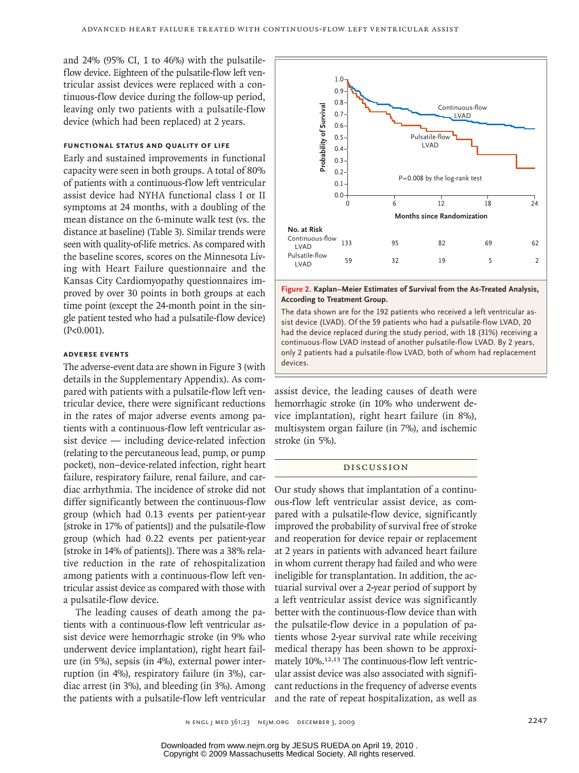and 24% (95% CI, 1 to 46%) with the pulsatileflow device. Eighteen of the pulsatile-flow left ventricular assist devices were replaced with a continuous-flow device during the follow-up period, leaving only two patients with a pulsatile-flow device (which had been replaced) at 2 years.

## **Functional Status and Quality of Life**

Early and sustained improvements in functional capacity were seen in both groups. A total of 80% of patients with a continuous-flow left ventricular assist device had NYHA functional class I or II symptoms at 24 months, with a doubling of the mean distance on the 6-minute walk test (vs. the distance at baseline) (Table 3). Similar trends were seen with quality-of-life metrics. As compared with the baseline scores, scores on the Minnesota Living with Heart Failure questionnaire and the Kansas City Cardiomyopathy questionnaires improved by over 30 points in both groups at each time point (except the 24-month point in the single patient tested who had a pulsatile-flow device) (P<0.001).

## **Adverse Events**

The adverse-event data are shown in Figure 3 (with details in the Supplementary Appendix). As compared with patients with a pulsatile-flow left ventricular device, there were significant reductions in the rates of major adverse events among patients with a continuous-flow left ventricular assist device — including device-related infection (relating to the percutaneous lead, pump, or pump pocket), non–device-related infection, right heart failure, respiratory failure, renal failure, and cardiac arrhythmia. The incidence of stroke did not differ significantly between the continuous-flow group (which had 0.13 events per patient-year [stroke in 17% of patients]) and the pulsatile-flow group (which had 0.22 events per patient-year [stroke in 14% of patients]). There was a 38% relative reduction in the rate of rehospitalization among patients with a continuous-flow left ventricular assist device as compared with those with a pulsatile-flow device.

The leading causes of death among the patients with a continuous-flow left ventricular assist device were hemorrhagic stroke (in 9% who underwent device implantation), right heart failure (in 5%), sepsis (in 4%), external power interruption (in 4%), respiratory failure (in 3%), cardiac arrest (in 3%), and bleeding (in 3%). Among the patients with a pulsatile-flow left ventricular



#### **Figure 2. Kaplan–Meier Estimates of Survival from the As-Treated Analysis, According to Treatment Group.**

Autoric (EVAD). Or the 35 patients who had a pursaine-how EVAD, 20<br>had the device replaced during the study period, with 18 (31%) receiving a continuous-flow LVAD instead of another pulsatile-flow LVAD. By 2 years, sist device (LVAD). Of the 59 patients who had a pulsatile-flow LVAD, 20 only 2 patients had a pulsatile-flow LVAD, both of whom had replacement The data shown are for the 192 patients who received a left ventricular asdevices.

Line Combo 4-C H/T

22p3

assist device, the leading causes of death were hemorrhagic stroke (in 10% who underwent device implantation), right heart failure (in 8%), multisystem organ failure (in 7%), and ischemic stroke (in 5%).

TYPE:

## Discussion

Our study shows that implantation of a continuous-flow left ventricular assist device, as compared with a pulsatile-flow device, significantly improved the probability of survival free of stroke and reoperation for device repair or replacement at 2 years in patients with advanced heart failure in whom current therapy had failed and who were ineligible for transplantation. In addition, the actuarial survival over a 2-year period of support by a left ventricular assist device was significantly better with the continuous-flow device than with the pulsatile-flow device in a population of patients whose 2-year survival rate while receiving medical therapy has been shown to be approximately 10%.12,13 The continuous-flow left ventricular assist device was also associated with significant reductions in the frequency of adverse events and the rate of repeat hospitalization, as well as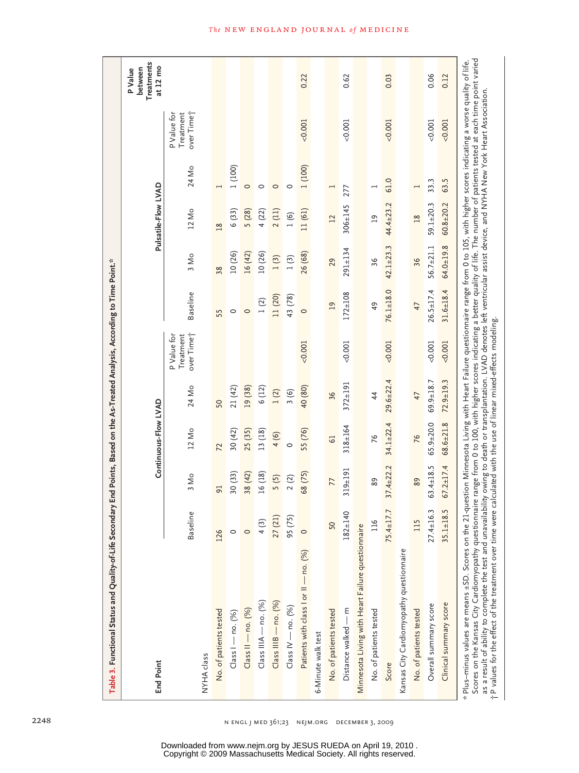| Table 3. Functional Status and Quality of Life Secondary End Points, Based on the As-Treated Analysis, According to Time Point.* |                      |                 |                      |                 |                                        |                 |                 |                     |                          |                                                    |                                              |
|----------------------------------------------------------------------------------------------------------------------------------|----------------------|-----------------|----------------------|-----------------|----------------------------------------|-----------------|-----------------|---------------------|--------------------------|----------------------------------------------------|----------------------------------------------|
| <b>End Point</b>                                                                                                                 |                      |                 | Continuous-Flow LVAD |                 |                                        |                 |                 | Pulsatile-Flow LVAD |                          |                                                    | Treatments<br>at 12 mo<br>between<br>P Value |
|                                                                                                                                  | <b>Baseline</b>      | 3 Mo            | 12 Mo                | 24 Mo           | P Value for<br>over Time;<br>Treatment | <b>Baseline</b> | 3 Mo            | 12 Mo               | 24 Mo                    | over Time <sup>-</sup><br>P Value for<br>Treatment |                                              |
| NYHA class                                                                                                                       |                      |                 |                      |                 |                                        |                 |                 |                     |                          |                                                    |                                              |
| No. of patients tested                                                                                                           | 126                  | $\overline{5}$  | 72                   | 50              |                                        | 55              | 38              | $\overline{18}$     | $\overline{\phantom{0}}$ |                                                    |                                              |
| $Class 1 - no. (%)$                                                                                                              | $\circ$              | 30(33)          | 30 (42)              | 21 (42)         |                                        | $\circ$         | 10 (26)         | 6 (33)              | 1 (100)                  |                                                    |                                              |
| Class II — no. $(%)$                                                                                                             | $\circ$              | 38 (42)         | 25 (35)              | 19 (38)         |                                        | $\circ$         | 16 (42)         | 5(28)               | $\circ$                  |                                                    |                                              |
| $Class IIIA - no. (%)$                                                                                                           | 4(3)                 | 16 (18)         | 13 (18)              | 6(12)           |                                        | 1(2)            | 10 (26)         | 4(22)               | $\circ$                  |                                                    |                                              |
| $Class IIB - no. (%)$                                                                                                            | 27 (21)              | 5(5)            | 4(6)                 | $1(2)$          |                                        | 11 (20)         | 1(3)            | 2(11)               | $\circ$                  |                                                    |                                              |
| Class $IV - no. (%)$                                                                                                             | 95 (75)              | 2(2)            | $\circ$              | 3(6)            |                                        | 43 (78)         | 1(3)            | 1(6)                | $\circ$                  |                                                    |                                              |
| Patients with class I or II - no. (%)                                                                                            | $\circ$              | 68 (75)         | 55 (76)              | 40 (80)         | 0.001                                  | $\circ$         | 26 (68)         | 11 (61)             | 1 (100)                  | 0.001                                              | 0.22                                         |
| 6-Minute walk test                                                                                                               |                      |                 |                      |                 |                                        |                 |                 |                     |                          |                                                    |                                              |
| No. of patients tested                                                                                                           | 50                   | 77              | $\overline{6}$       | 36              |                                        | $\overline{19}$ | 29              | 12                  | $\overline{\phantom{0}}$ |                                                    |                                              |
| Distance walked - m                                                                                                              | $182 \pm 140$        | $319 + 191$     | $318 + 164$          | $372 + 191$     | $-0.001$                               | $172 \pm 108$   | $291 + 134$     | $306 + 145$         | 277                      | 0.001                                              | 0.62                                         |
| Minnesota Living with Heart Failure questionnaire                                                                                |                      |                 |                      |                 |                                        |                 |                 |                     |                          |                                                    |                                              |
| No. of patients tested                                                                                                           | $\frac{16}{1}$       | 89              | 76                   | $\overline{4}$  |                                        | 49              | 36              | $\overline{19}$     | $\overline{\phantom{0}}$ |                                                    |                                              |
| Score                                                                                                                            | 75.4±17.7            | $37.4 + 22.2$   | $34.1 + 22.4$        | $29.6 + 22.4$   | 0.001                                  | $76.1 + 18.0$   | $42.1 \pm 23.3$ | 44.4±23.2           | 61.0                     | < 0.001                                            | 0.03                                         |
| Kansas City Cardiomyopathy questionnaire                                                                                         |                      |                 |                      |                 |                                        |                 |                 |                     |                          |                                                    |                                              |
| No. of patients tested                                                                                                           | 115                  | 89              | 76                   | 47              |                                        | 47              | 36              | $18$                | $\overline{ }$           |                                                    |                                              |
| Overall summary score                                                                                                            | ن<br>$27.4 \pm 16$   | $63.4 \pm 18.5$ | $65.9 + 20.0$        | 69.9±18.7       | 0.001                                  | $26.5 \pm 17.4$ | $56.7 \pm 21.1$ | $59.1 + 20.3$       | 33.3                     | 0.001                                              | 0.06                                         |
| Clinical summary score                                                                                                           | LU.<br>$35.1 \pm 18$ | $67.2 \pm 17.4$ | $68.6 \pm 21.8$      | $72.9 \pm 19.3$ | 0.001                                  | $31.6 \pm 18.4$ | 64.0±19.8       | $60.8 + 20.2$       | 63.5                     | 0.001                                              | 0.12                                         |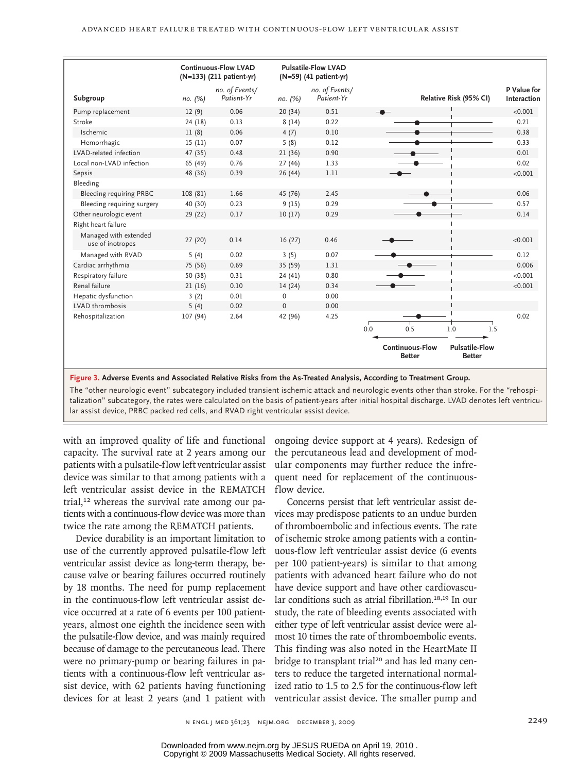|                                           |          | <b>Continuous-Flow LVAD</b><br>$(N=133)$ (211 patient-yr) |          | <b>Pulsatile-Flow LVAD</b><br>$(N=59)$ (41 patient-yr) |             |                                         |                                        |                            |
|-------------------------------------------|----------|-----------------------------------------------------------|----------|--------------------------------------------------------|-------------|-----------------------------------------|----------------------------------------|----------------------------|
| Subgroup                                  | no. (%)  | no. of Events/<br>Patient-Yr                              | no. (%)  | no. of Events/<br>Patient-Yr                           |             |                                         | Relative Risk (95% CI)                 | P Value for<br>Interaction |
| Pump replacement                          | 12(9)    | 0.06                                                      | 20(34)   | 0.51                                                   | <b>-0</b> — |                                         |                                        | < 0.001                    |
| Stroke                                    | 24 (18)  | 0.13                                                      | 8(14)    | 0.22                                                   |             |                                         |                                        | 0.21                       |
| Ischemic                                  | 11(8)    | 0.06                                                      | 4(7)     | 0.10                                                   |             |                                         |                                        | 0.38                       |
| Hemorrhagic                               | 15(11)   | 0.07                                                      | 5(8)     | 0.12                                                   |             |                                         |                                        | 0.33                       |
| LVAD-related infection                    | 47 (35)  | 0.48                                                      | 21(36)   | 0.90                                                   |             |                                         |                                        | 0.01                       |
| Local non-LVAD infection                  | 65 (49)  | 0.76                                                      | 27(46)   | 1.33                                                   |             |                                         |                                        | 0.02                       |
| Sepsis                                    | 48 (36)  | 0.39                                                      | 26(44)   | 1.11                                                   |             |                                         |                                        | < 0.001                    |
| Bleeding                                  |          |                                                           |          |                                                        |             |                                         |                                        |                            |
| Bleeding requiring PRBC                   | 108 (81) | 1.66                                                      | 45 (76)  | 2.45                                                   |             |                                         |                                        | 0.06                       |
| Bleeding requiring surgery                | 40 (30)  | 0.23                                                      | 9(15)    | 0.29                                                   |             |                                         |                                        | 0.57                       |
| Other neurologic event                    | 29 (22)  | 0.17                                                      | 10(17)   | 0.29                                                   |             |                                         |                                        | 0.14                       |
| Right heart failure                       |          |                                                           |          |                                                        |             |                                         |                                        |                            |
| Managed with extended<br>use of inotropes | 27(20)   | 0.14                                                      | 16(27)   | 0.46                                                   |             |                                         |                                        | < 0.001                    |
| Managed with RVAD                         | 5(4)     | 0.02                                                      | 3(5)     | 0.07                                                   |             |                                         |                                        | 0.12                       |
| Cardiac arrhythmia                        | 75 (56)  | 0.69                                                      | 35 (59)  | 1.31                                                   |             |                                         |                                        | 0.006                      |
| Respiratory failure                       | 50 (38)  | 0.31                                                      | 24(41)   | 0.80                                                   |             |                                         |                                        | < 0.001                    |
| Renal failure                             | 21(16)   | 0.10                                                      | 14(24)   | 0.34                                                   |             |                                         |                                        | < 0.001                    |
| Hepatic dysfunction                       | 3(2)     | 0.01                                                      | 0        | 0.00                                                   |             |                                         |                                        |                            |
| LVAD thrombosis                           | 5(4)     | 0.02                                                      | $\Omega$ | 0.00                                                   |             |                                         |                                        |                            |
| Rehospitalization                         | 107 (94) | 2.64                                                      | 42 (96)  | 4.25                                                   |             |                                         |                                        | 0.02                       |
|                                           |          |                                                           |          |                                                        | 0.0         | 0.5                                     | 1.0<br>1.5                             |                            |
|                                           |          |                                                           |          |                                                        |             | <b>Continuous-Flow</b><br><b>Better</b> | <b>Pulsatile-Flow</b><br><b>Better</b> |                            |

Figure 3. Adverse Events and Associated Relative Risks from the As-Treated Analysis, According to Treatment Group.<br>

TYPE:

 $F<sub>1</sub>$ talization" subcategory, the rates were calculated on the basis of patient-years after initial hospital discharge. LVAD denotes left ventricu-The "other neurologic event" subcategory included transient ischemic attack and neurologic events other than stroke. For the "rehospilar assist device, PRBC packed red cells, and RVAD right ventricular assist device.

 $L$  and  $L$   $\sim$   $L$   $\sim$   $L$   $\sim$   $L$   $\sim$   $L$   $\sim$   $L$   $\sim$   $L$   $\sim$   $L$ 

with an improved quality of life and functional ongoing device support at 4 years). Redesign of capacity. The survival rate at 2 years among our patients with a pulsatile-flow left ventricular assist device was similar to that among patients with a left ventricular assist device in the REMATCH trial,<sup>12</sup> whereas the survival rate among our patients with a continuous-flow device was more than vices may predispose patients to an undue burden twice the rate among the REMATCH patients.

Device durability is an important limitation to use of the currently approved pulsatile-flow left ventricular assist device as long-term therapy, because valve or bearing failures occurred routinely by 18 months. The need for pump replacement in the continuous-flow left ventricular assist device occurred at a rate of 6 events per 100 patientyears, almost one eighth the incidence seen with the pulsatile-flow device, and was mainly required because of damage to the percutaneous lead. There were no primary-pump or bearing failures in patients with a continuous-flow left ventricular assist device, with 62 patients having functioning

ong our the percutaneous lead and development of modular components may further reduce the infre-**Please check carefully.** atients with a quent need for replacement of the continuousflow device.

 $\equiv$ 

devices for at least 2 years (and 1 patient with ventricular assist device. The smaller pump and Concerns persist that left ventricular assist deof thromboembolic and infectious events. The rate of ischemic stroke among patients with a continuous-flow left ventricular assist device (6 events per 100 patient-years) is similar to that among patients with advanced heart failure who do not have device support and have other cardiovascular conditions such as atrial fibrillation.18,19 In our study, the rate of bleeding events associated with either type of left ventricular assist device were almost 10 times the rate of thromboembolic events. This finding was also noted in the HeartMate II bridge to transplant trial<sup>20</sup> and has led many centers to reduce the targeted international normalized ratio to 1.5 to 2.5 for the continuous-flow left

n engl j med 361;23 nejm.org december 3, 2009 2249 2249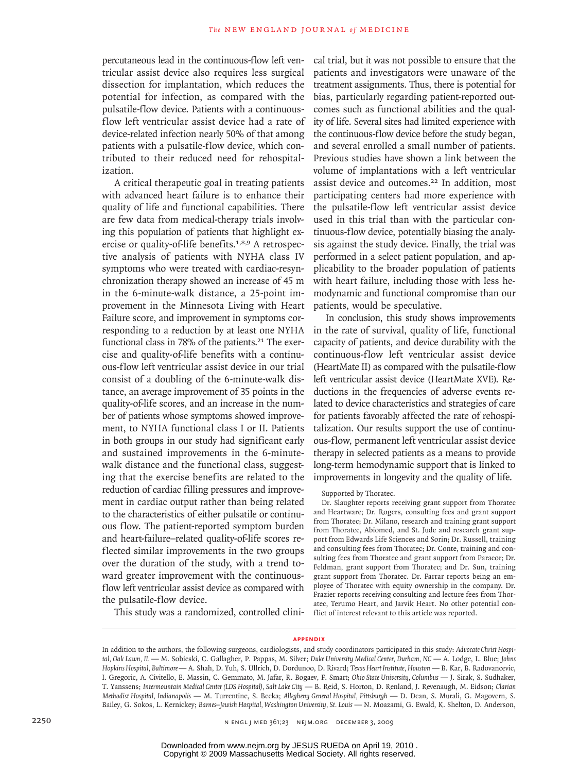percutaneous lead in the continuous-flow left ventricular assist device also requires less surgical dissection for implantation, which reduces the potential for infection, as compared with the pulsatile-flow device. Patients with a continuousflow left ventricular assist device had a rate of device-related infection nearly 50% of that among patients with a pulsatile-flow device, which contributed to their reduced need for rehospitalization.

A critical therapeutic goal in treating patients with advanced heart failure is to enhance their quality of life and functional capabilities. There are few data from medical-therapy trials involving this population of patients that highlight exercise or quality-of-life benefits.<sup>1,8,9</sup> A retrospective analysis of patients with NYHA class IV symptoms who were treated with cardiac-resynchronization therapy showed an increase of 45 m in the 6-minute-walk distance, a 25-point improvement in the Minnesota Living with Heart Failure score, and improvement in symptoms corresponding to a reduction by at least one NYHA functional class in 78% of the patients.<sup>21</sup> The exercise and quality-of-life benefits with a continuous-flow left ventricular assist device in our trial consist of a doubling of the 6-minute-walk distance, an average improvement of 35 points in the quality-of-life scores, and an increase in the number of patients whose symptoms showed improvement, to NYHA functional class I or II. Patients in both groups in our study had significant early and sustained improvements in the 6-minutewalk distance and the functional class, suggesting that the exercise benefits are related to the reduction of cardiac filling pressures and improvement in cardiac output rather than being related to the characteristics of either pulsatile or continuous flow. The patient-reported symptom burden and heart-failure–related quality-of-life scores reflected similar improvements in the two groups over the duration of the study, with a trend toward greater improvement with the continuousflow left ventricular assist device as compared with the pulsatile-flow device.

cal trial, but it was not possible to ensure that the patients and investigators were unaware of the treatment assignments. Thus, there is potential for bias, particularly regarding patient-reported outcomes such as functional abilities and the quality of life. Several sites had limited experience with the continuous-flow device before the study began, and several enrolled a small number of patients. Previous studies have shown a link between the volume of implantations with a left ventricular assist device and outcomes.22 In addition, most participating centers had more experience with the pulsatile-flow left ventricular assist device used in this trial than with the particular continuous-flow device, potentially biasing the analysis against the study device. Finally, the trial was performed in a select patient population, and applicability to the broader population of patients with heart failure, including those with less hemodynamic and functional compromise than our patients, would be speculative.

In conclusion, this study shows improvements in the rate of survival, quality of life, functional capacity of patients, and device durability with the continuous-flow left ventricular assist device (HeartMate II) as compared with the pulsatile-flow left ventricular assist device (HeartMate XVE). Reductions in the frequencies of adverse events related to device characteristics and strategies of care for patients favorably affected the rate of rehospitalization. Our results support the use of continuous-flow, permanent left ventricular assist device therapy in selected patients as a means to provide long-term hemodynamic support that is linked to improvements in longevity and the quality of life.

## Supported by Thoratec.

Dr. Slaughter reports receiving grant support from Thoratec and Heartware; Dr. Rogers, consulting fees and grant support from Thoratec; Dr. Milano, research and training grant support from Thoratec, Abiomed, and St. Jude and research grant support from Edwards Life Sciences and Sorin; Dr. Russell, training and consulting fees from Thoratec; Dr. Conte, training and consulting fees from Thoratec and grant support from Paracor; Dr. Feldman, grant support from Thoratec; and Dr. Sun, training grant support from Thoratec. Dr. Farrar reports being an employee of Thoratec with equity ownership in the company. Dr. Frazier reports receiving consulting and lecture fees from Thoratec, Terumo Heart, and Jarvik Heart. No other potential conflict of interest relevant to this article was reported.

This study was a randomized, controlled clini-

## **Appendix**

2250 n engl j med 361;23 nejm.org december 3, 2009

In addition to the authors, the following surgeons, cardiologists, and study coordinators participated in this study: *Advocate Christ Hospital, Oak Lawn, IL* — M. Sobieski, C. Gallagher, P. Pappas, M. Silver; *Duke University Medical Center, Durham, NC* — A. Lodge, L. Blue; *Johns Hopkins Hospital, Baltimore* — A. Shah, D. Yuh, S. Ullrich, D. Dordunoo, D. Rivard; *Texas Heart Institute, Houston* — B. Kar, B. Radovancevic, I. Gregoric, A. Civitello, E. Massin, C. Gemmato, M. Jafar, R. Bogaev, F. Smart; *Ohio State University, Columbus* — J. Sirak, S. Sudhaker, T. Yanssens; *Intermountain Medical Center (LDS Hospital), Salt Lake City* — B. Reid, S. Horton, D. Renland, J. Revenaugh, M. Eidson; *Clarian Methodist Hospital, Indianapolis* — M. Turrentine, S. Becka; *Allegheny General Hospital, Pittsburgh* — D. Dean, S. Murali, G. Magovern, S. Bailey, G. Sokos, L. Kernickey; *Barnes–Jewish Hospital, Washington University, St. Louis* — N. Moazami, G. Ewald, K. Shelton, D. Anderson,